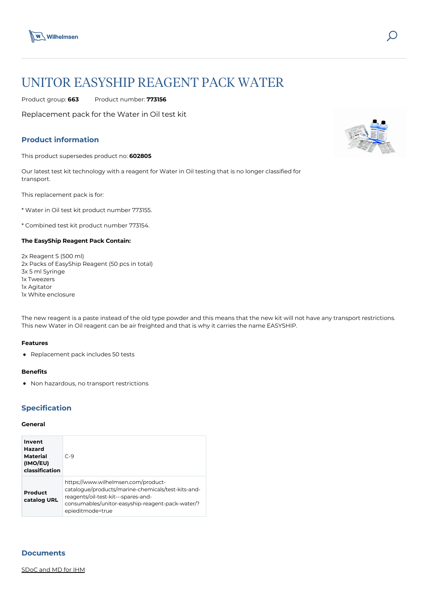

# UNITOR EASYSHIP REAGENT PACK WATER

Product group: **663** Product number: **773156**

Replacement pack for the Water in Oil test kit

# **Product information**

This product supersedes product no: **602805**

Our latest test kit technology with a reagent for Water in Oil testing that is no longer classified for transport.

This replacement pack is for:

\* Water in Oil test kit product number 773155.

\* Combined test kit product number 773154.

## **The EasyShip Reagent Pack Contain:**

2x Reagent S (500 ml) 2x Packs of EasyShip Reagent (50 pcs in total) 3x 5 ml Syringe 1x Tweezers 1x Agitator 1x White enclosure

The new reagent is a paste instead of the old type powder and this means that the new kit will not have any transport restrictions. This new Water in Oil reagent can be air freighted and that is why it carries the name EASYSHIP.

#### **Features**

• Replacement pack includes 50 tests

#### **Benefits**

Non hazardous, no transport restrictions

## **Specification**

#### **General**

| Invent<br>Hazard<br><b>Material</b><br>(IMO/EU)<br>classification | $C-9$                                                                                                                                                                                                    |
|-------------------------------------------------------------------|----------------------------------------------------------------------------------------------------------------------------------------------------------------------------------------------------------|
| Product<br>catalog URL                                            | https://www.wilhelmsen.com/product-<br>catalogue/products/marine-chemicals/test-kits-and-<br>reagents/oil-test-kit---spares-and-<br>consumables/unitor-easyship-reagent-pack-water/?<br>epieditmode=true |

### **Documents**